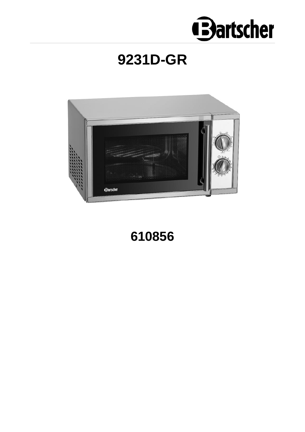

# **9231D-GR**



**610856**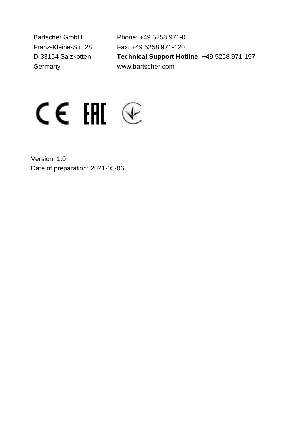Bartscher GmbH Franz-Kleine-Str. 28 D-33154 Salzkotten Germany

Phone: +49 5258 971-0 Fax: +49 5258 971-120 **Technical Support Hotline:** +49 5258 971-197 www.bartscher.com



Version: 1.0 Date of preparation: 2021-05-06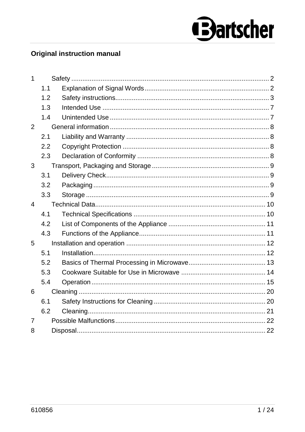# **Bartscher**

# **Original instruction manual**

| 1              |     |  |
|----------------|-----|--|
|                | 1.1 |  |
|                | 1.2 |  |
|                | 1.3 |  |
|                | 1.4 |  |
| 2              |     |  |
|                | 2.1 |  |
|                | 2.2 |  |
|                | 2.3 |  |
| 3              |     |  |
|                | 3.1 |  |
|                | 3.2 |  |
|                | 3.3 |  |
| 4              |     |  |
|                | 4.1 |  |
|                | 4.2 |  |
|                | 4.3 |  |
| 5              |     |  |
|                | 5.1 |  |
|                | 5.2 |  |
|                | 5.3 |  |
|                | 5.4 |  |
| 6              |     |  |
|                | 6.1 |  |
|                | 6.2 |  |
| $\overline{7}$ |     |  |
| 8              |     |  |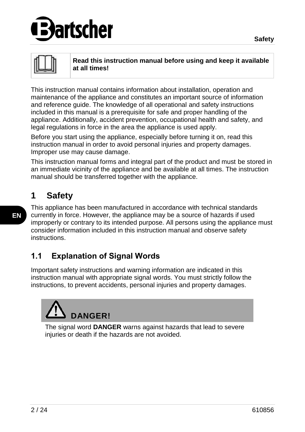# artscher

**Read this instruction manual before using and keep it available at all times!**

This instruction manual contains information about installation, operation and maintenance of the appliance and constitutes an important source of information and reference guide. The knowledge of all operational and safety instructions included in this manual is a prerequisite for safe and proper handling of the appliance. Additionally, accident prevention, occupational health and safety, and legal regulations in force in the area the appliance is used apply.

Before you start using the appliance, especially before turning it on, read this instruction manual in order to avoid personal injuries and property damages. Improper use may cause damage.

This instruction manual forms and integral part of the product and must be stored in an immediate vicinity of the appliance and be available at all times. The instruction manual should be transferred together with the appliance.

# <span id="page-3-0"></span>**1 Safety**

This appliance has been manufactured in accordance with technical standards currently in force. However, the appliance may be a source of hazards if used improperly or contrary to its intended purpose. All persons using the appliance must consider information included in this instruction manual and observe safety instructions.

# <span id="page-3-1"></span>**1.1 Explanation of Signal Words**

Important safety instructions and warning information are indicated in this instruction manual with appropriate signal words. You must strictly follow the instructions, to prevent accidents, personal injuries and property damages.

# **DANGER!**

The signal word **DANGER** warns against hazards that lead to severe injuries or death if the hazards are not avoided.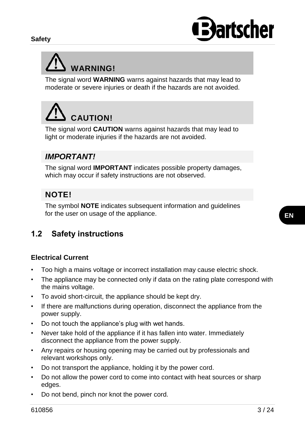

# **WARNING!**

The signal word **WARNING** warns against hazards that may lead to moderate or severe injuries or death if the hazards are not avoided.

# **CAUTION!**

The signal word **CAUTION** warns against hazards that may lead to light or moderate injuries if the hazards are not avoided.

# *IMPORTANT!*

The signal word **IMPORTANT** indicates possible property damages, which may occur if safety instructions are not observed.

# **NOTE!**

The symbol **NOTE** indicates subsequent information and guidelines for the user on usage of the appliance.

# <span id="page-4-0"></span>**1.2 Safety instructions**

## **Electrical Current**

- Too high a mains voltage or incorrect installation may cause electric shock.
- The appliance may be connected only if data on the rating plate correspond with the mains voltage.
- To avoid short-circuit, the appliance should be kept dry.
- If there are malfunctions during operation, disconnect the appliance from the power supply.
- Do not touch the appliance's plug with wet hands.
- Never take hold of the appliance if it has fallen into water. Immediately disconnect the appliance from the power supply.
- Any repairs or housing opening may be carried out by professionals and relevant workshops only.
- Do not transport the appliance, holding it by the power cord.
- Do not allow the power cord to come into contact with heat sources or sharp edges.
- Do not bend, pinch nor knot the power cord.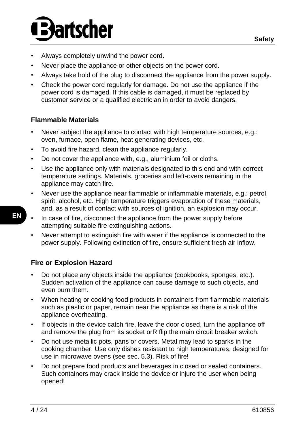# artscher

- Always completely unwind the power cord.
- Never place the appliance or other objects on the power cord.
- Always take hold of the plug to disconnect the appliance from the power supply.
- Check the power cord regularly for damage. Do not use the appliance if the power cord is damaged. If this cable is damaged, it must be replaced by customer service or a qualified electrician in order to avoid dangers.

#### **Flammable Materials**

- Never subject the appliance to contact with high temperature sources, e.g.: oven, furnace, open flame, heat generating devices, etc.
- To avoid fire hazard, clean the appliance regularly.
- Do not cover the appliance with, e.g., aluminium foil or cloths.
- Use the appliance only with materials designated to this end and with correct temperature settings. Materials, groceries and left-overs remaining in the appliance may catch fire.
- Never use the appliance near flammable or inflammable materials, e.g.: petrol, spirit, alcohol, etc. High temperature triggers evaporation of these materials, and, as a result of contact with sources of ignition, an explosion may occur.
- In case of fire, disconnect the appliance from the power supply before attempting suitable fire-extinguishing actions.
	- Never attempt to extinguish fire with water if the appliance is connected to the power supply. Following extinction of fire, ensure sufficient fresh air inflow.

# **Fire or Explosion Hazard**

- Do not place any objects inside the appliance (cookbooks, sponges, etc.). Sudden activation of the appliance can cause damage to such objects, and even burn them.
- When heating or cooking food products in containers from flammable materials such as plastic or paper, remain near the appliance as there is a risk of the appliance overheating.
- If objects in the device catch fire, leave the door closed, turn the appliance off and remove the plug from its socket orR flip the main circuit breaker switch.
- Do not use metallic pots, pans or covers. Metal may lead to sparks in the cooking chamber. Use only dishes resistant to high temperatures, designed for use in microwave ovens (see sec. 5.3). Risk of fire!
- Do not prepare food products and beverages in closed or sealed containers. Such containers may crack inside the device or injure the user when being opened!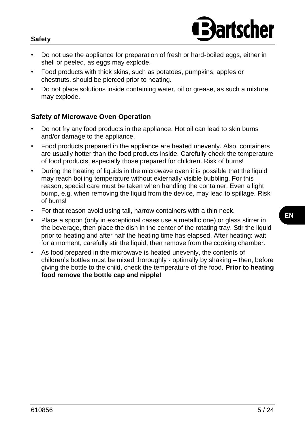#### **Safety**



- Do not use the appliance for preparation of fresh or hard-boiled eggs, either in shell or peeled, as eggs may explode.
- Food products with thick skins, such as potatoes, pumpkins, apples or chestnuts, should be pierced prior to heating.
- Do not place solutions inside containing water, oil or grease, as such a mixture may explode.

#### **Safety of Microwave Oven Operation**

- Do not fry any food products in the appliance. Hot oil can lead to skin burns and/or damage to the appliance.
- Food products prepared in the appliance are heated unevenly. Also, containers are usually hotter than the food products inside. Carefully check the temperature of food products, especially those prepared for children. Risk of burns!
- During the heating of liquids in the microwave oven it is possible that the liquid may reach boiling temperature without externally visible bubbling. For this reason, special care must be taken when handling the container. Even a light bump, e.g. when removing the liquid from the device, may lead to spillage. Risk of burns!
- For that reason avoid using tall, narrow containers with a thin neck.
- Place a spoon (only in exceptional cases use a metallic one) or glass stirrer in the beverage, then place the dish in the center of the rotating tray. Stir the liquid prior to heating and after half the heating time has elapsed. After heating: wait for a moment, carefully stir the liquid, then remove from the cooking chamber.
- As food prepared in the microwave is heated unevenly, the contents of children's bottles must be mixed thoroughly - optimally by shaking – then, before giving the bottle to the child, check the temperature of the food. **Prior to heating food remove the bottle cap and nipple!**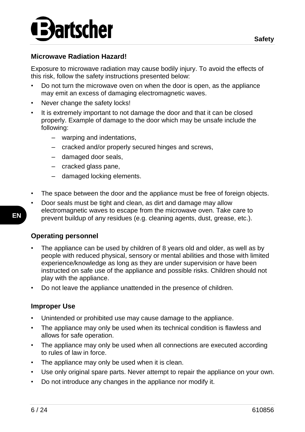

#### **Microwave Radiation Hazard!**

Exposure to microwave radiation may cause bodily injury. To avoid the effects of this risk, follow the safety instructions presented below:

- Do not turn the microwave oven on when the door is open, as the appliance may emit an excess of damaging electromagnetic waves.
- Never change the safety locks!
- It is extremely important to not damage the door and that it can be closed properly. Example of damage to the door which may be unsafe include the following:
	- warping and indentations,
	- cracked and/or properly secured hinges and screws,
	- damaged door seals,
	- cracked glass pane,
	- damaged locking elements.
- The space between the door and the appliance must be free of foreign objects.
- Door seals must be tight and clean, as dirt and damage may allow electromagnetic waves to escape from the microwave oven. Take care to prevent buildup of any residues (e.g. cleaning agents, dust, grease, etc.).

#### **Operating personnel**

- The appliance can be used by children of 8 years old and older, as well as by people with reduced physical, sensory or mental abilities and those with limited experience/knowledge as long as they are under supervision or have been instructed on safe use of the appliance and possible risks. Children should not play with the appliance.
- Do not leave the appliance unattended in the presence of children.

#### **Improper Use**

- Unintended or prohibited use may cause damage to the appliance.
- The appliance may only be used when its technical condition is flawless and allows for safe operation.
- The appliance may only be used when all connections are executed according to rules of law in force.
- The appliance may only be used when it is clean.
- Use only original spare parts. Never attempt to repair the appliance on your own.
- Do not introduce any changes in the appliance nor modify it.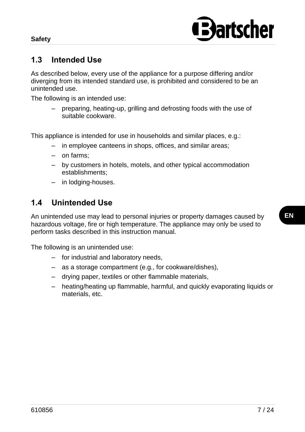

# <span id="page-8-0"></span>**1.3 Intended Use**

As described below, every use of the appliance for a purpose differing and/or diverging from its intended standard use, is prohibited and considered to be an unintended use.

The following is an intended use:

– preparing, heating-up, grilling and defrosting foods with the use of suitable cookware.

This appliance is intended for use in households and similar places, e.g.:

- in employee canteens in shops, offices, and similar areas;
- on farms;
- by customers in hotels, motels, and other typical accommodation establishments;
- in lodging-houses.

# <span id="page-8-1"></span>**1.4 Unintended Use**

An unintended use may lead to personal injuries or property damages caused by hazardous voltage, fire or high temperature. The appliance may only be used to perform tasks described in this instruction manual.

The following is an unintended use:

- for industrial and laboratory needs,
- as a storage compartment (e.g., for cookware/dishes),
- drying paper, textiles or other flammable materials,
- heating/heating up flammable, harmful, and quickly evaporating liquids or materials, etc.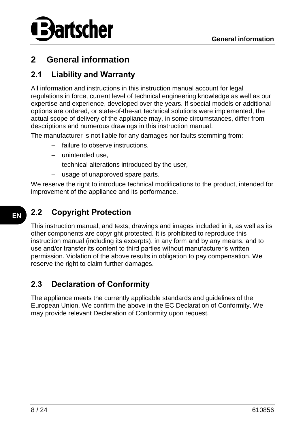

# <span id="page-9-0"></span>**2 General information**

# <span id="page-9-1"></span>**2.1 Liability and Warranty**

All information and instructions in this instruction manual account for legal regulations in force, current level of technical engineering knowledge as well as our expertise and experience, developed over the years. If special models or additional options are ordered, or state-of-the-art technical solutions were implemented, the actual scope of delivery of the appliance may, in some circumstances, differ from descriptions and numerous drawings in this instruction manual.

The manufacturer is not liable for any damages nor faults stemming from:

- failure to observe instructions,
- unintended use,
- technical alterations introduced by the user,
- usage of unapproved spare parts.

We reserve the right to introduce technical modifications to the product, intended for improvement of the appliance and its performance.

# <span id="page-9-2"></span>**2.2 Copyright Protection**

This instruction manual, and texts, drawings and images included in it, as well as its other components are copyright protected. It is prohibited to reproduce this instruction manual (including its excerpts), in any form and by any means, and to use and/or transfer its content to third parties without manufacturer's written permission. Violation of the above results in obligation to pay compensation. We reserve the right to claim further damages.

# <span id="page-9-3"></span>**2.3 Declaration of Conformity**

The appliance meets the currently applicable standards and guidelines of the European Union. We confirm the above in the EC Declaration of Conformity. We may provide relevant Declaration of Conformity upon request.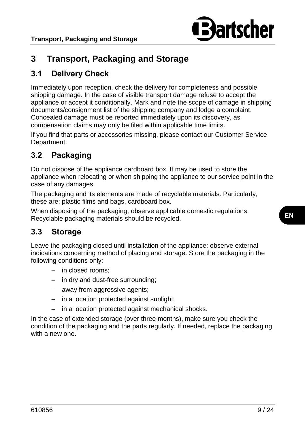

# <span id="page-10-0"></span>**3 Transport, Packaging and Storage**

# <span id="page-10-1"></span>**3.1 Delivery Check**

Immediately upon reception, check the delivery for completeness and possible shipping damage. In the case of visible transport damage refuse to accept the appliance or accept it conditionally. Mark and note the scope of damage in shipping documents/consignment list of the shipping company and lodge a complaint. Concealed damage must be reported immediately upon its discovery, as compensation claims may only be filed within applicable time limits.

If you find that parts or accessories missing, please contact our Customer Service Department.

# <span id="page-10-2"></span>**3.2 Packaging**

Do not dispose of the appliance cardboard box. It may be used to store the appliance when relocating or when shipping the appliance to our service point in the case of any damages.

The packaging and its elements are made of recyclable materials. Particularly, these are: plastic films and bags, cardboard box.

When disposing of the packaging, observe applicable domestic regulations. Recyclable packaging materials should be recycled.

## <span id="page-10-3"></span>**3.3 Storage**

Leave the packaging closed until installation of the appliance; observe external indications concerning method of placing and storage. Store the packaging in the following conditions only:

- in closed rooms;
- in dry and dust-free surrounding;
- away from aggressive agents;
- in a location protected against sunlight;
- in a location protected against mechanical shocks.

In the case of extended storage (over three months), make sure you check the condition of the packaging and the parts regularly. If needed, replace the packaging with a new one.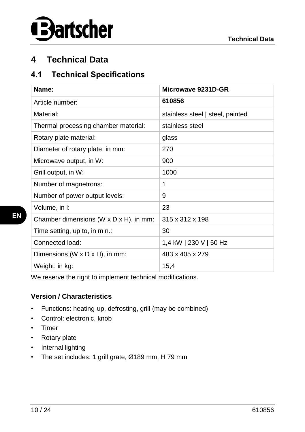

# <span id="page-11-0"></span>**4 Technical Data**

## <span id="page-11-1"></span>**4.1 Technical Specifications**

| Name:                                                | Microwave 9231D-GR               |  |
|------------------------------------------------------|----------------------------------|--|
| Article number:                                      | 610856                           |  |
| Material:                                            | stainless steel   steel, painted |  |
| Thermal processing chamber material:                 | stainless steel                  |  |
| Rotary plate material:                               | glass                            |  |
| Diameter of rotary plate, in mm:                     | 270                              |  |
| Microwave output, in W:                              | 900                              |  |
| Grill output, in W:                                  | 1000                             |  |
| Number of magnetrons:                                | 1                                |  |
| Number of power output levels:                       | 9                                |  |
| Volume, in I:                                        | 23                               |  |
| Chamber dimensions ( $W \times D \times H$ ), in mm: | 315 x 312 x 198                  |  |
| Time setting, up to, in min.:                        | 30                               |  |
| Connected load:                                      | 1,4 kW   230 V   50 Hz           |  |
| Dimensions (W $\times$ D $\times$ H), in mm:         | 483 x 405 x 279                  |  |
| Weight, in kg:                                       | 15,4                             |  |

We reserve the right to implement technical modifications.

#### **Version / Characteristics**

- Functions: heating-up, defrosting, grill (may be combined)
- Control: electronic, knob
- Timer
- Rotary plate
- Internal lighting
- The set includes: 1 grill grate, Ø189 mm, H 79 mm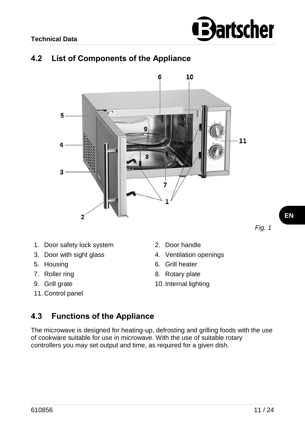

# <span id="page-12-0"></span>**4.2 List of Components of the Appliance**



- 1. Door safety lock system 2. Door handle
- 3. Door with sight glass 4. Ventilation openings
- 
- 
- 
- 11. Control panel
- 
- 
- 5. Housing 6. Grill heater
- 7. Roller ring 8. Rotary plate
- 9. Grill grate 10. Internal lighting

#### <span id="page-12-1"></span>**4.3 Functions of the Appliance**

The microwave is designed for heating-up, defrosting and grilling foods with the use of cookware suitable for use in microwave. With the use of suitable rotary controllers you may set output and time, as required for a given dish.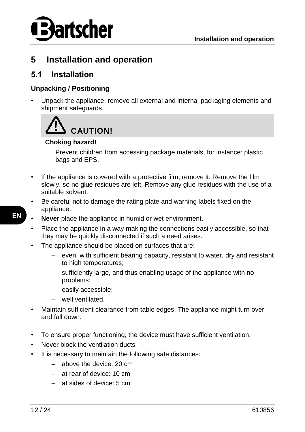

# <span id="page-13-0"></span>**5 Installation and operation**

### <span id="page-13-1"></span>**5.1 Installation**

#### **Unpacking / Positioning**

• Unpack the appliance, remove all external and internal packaging elements and shipment safeguards.



#### **Choking hazard!**

Prevent children from accessing package materials, for instance: plastic bags and EPS.

- If the appliance is covered with a protective film, remove it. Remove the film slowly, so no glue residues are left. Remove any glue residues with the use of a suitable solvent.
- Be careful not to damage the rating plate and warning labels fixed on the appliance.
- **Never** place the appliance in humid or wet environment.
	- Place the appliance in a way making the connections easily accessible, so that they may be quickly disconnected if such a need arises.
- The appliance should be placed on surfaces that are:
	- even, with sufficient bearing capacity, resistant to water, dry and resistant to high temperatures:
	- sufficiently large, and thus enabling usage of the appliance with no problems;
	- easily accessible;
	- well ventilated.
- Maintain sufficient clearance from table edges. The appliance might turn over and fall down.
- To ensure proper functioning, the device must have sufficient ventilation.
- Never block the ventilation ducts!
- It is necessary to maintain the following safe distances:
	- above the device: 20 cm
	- at rear of device: 10 cm
	- at sides of device: 5 cm.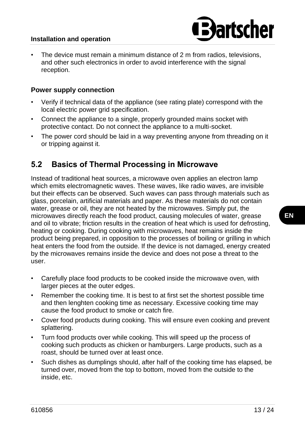#### **Installation and operation**

• The device must remain a minimum distance of 2 m from radios, televisions, and other such electronics in order to avoid interference with the signal reception.

#### **Power supply connection**

- Verify if technical data of the appliance (see rating plate) correspond with the local electric power grid specification.
- Connect the appliance to a single, properly grounded mains socket with protective contact. Do not connect the appliance to a multi-socket.
- The power cord should be laid in a way preventing anyone from threading on it or tripping against it.

#### <span id="page-14-0"></span>**5.2 Basics of Thermal Processing in Microwave**

Instead of traditional heat sources, a microwave oven applies an electron lamp which emits electromagnetic waves. These waves, like radio waves, are invisible but their effects can be observed. Such waves can pass through materials such as glass, porcelain, artificial materials and paper. As these materials do not contain water, grease or oil, they are not heated by the microwaves. Simply put, the microwaves directly reach the food product, causing molecules of water, grease and oil to vibrate; friction results in the creation of heat which is used for defrosting, heating or cooking. During cooking with microwaves, heat remains inside the product being prepared, in opposition to the processes of boiling or grilling in which heat enters the food from the outside. If the device is not damaged, energy created by the microwaves remains inside the device and does not pose a threat to the user.

- Carefully place food products to be cooked inside the microwave oven, with larger pieces at the outer edges.
- Remember the cooking time. It is best to at first set the shortest possible time and then lenghten cooking time as necessary. Excessive cooking time may cause the food product to smoke or catch fire.
- Cover food products during cooking. This will ensure even cooking and prevent splattering.
- Turn food products over while cooking. This will speed up the process of cooking such products as chicken or hamburgers. Large products, such as a roast, should be turned over at least once.
- Such dishes as dumplings should, after half of the cooking time has elapsed, be turned over, moved from the top to bottom, moved from the outside to the inside, etc.

**artscher**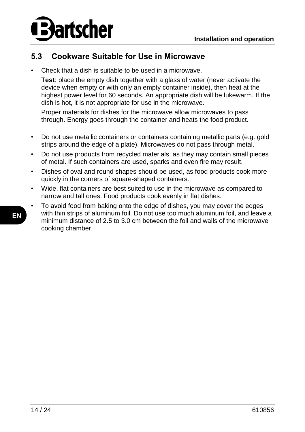

## <span id="page-15-0"></span>**5.3 Cookware Suitable for Use in Microwave**

• Check that a dish is suitable to be used in a microwave.

**Test**: place the empty dish together with a glass of water (never activate the device when empty or with only an empty container inside), then heat at the highest power level for 60 seconds. An appropriate dish will be lukewarm. If the dish is hot, it is not appropriate for use in the microwave.

Proper materials for dishes for the microwave allow microwaves to pass through. Energy goes through the container and heats the food product.

- Do not use metallic containers or containers containing metallic parts (e.g. gold strips around the edge of a plate). Microwaves do not pass through metal.
- Do not use products from recycled materials, as they may contain small pieces of metal. If such containers are used, sparks and even fire may result.
- Dishes of oval and round shapes should be used, as food products cook more quickly in the corners of square-shaped containers.
- Wide, flat containers are best suited to use in the microwave as compared to narrow and tall ones. Food products cook evenly in flat dishes.
- To avoid food from baking onto the edge of dishes, you may cover the edges with thin strips of aluminum foil. Do not use too much aluminum foil, and leave a minimum distance of 2.5 to 3.0 cm between the foil and walls of the microwave cooking chamber.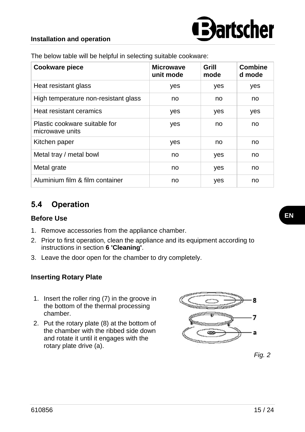

#### **Installation and operation**

| Cookware piece                                   | <b>Microwave</b><br>unit mode | Grill<br>mode | <b>Combine</b><br>d mode |
|--------------------------------------------------|-------------------------------|---------------|--------------------------|
| Heat resistant glass                             | yes                           | yes           | yes                      |
| High temperature non-resistant glass             | no                            | no            | no                       |
| Heat resistant ceramics                          | yes                           | yes           | yes                      |
| Plastic cookware suitable for<br>microwave units | yes                           | no            | no                       |
| Kitchen paper                                    | yes                           | no            | no                       |
| Metal tray / metal bowl                          | no                            | yes           | no                       |
| Metal grate                                      | no                            | yes           | no                       |
| Aluminium film & film container                  | no                            | yes           | no                       |

The below table will be helpful in selecting suitable cookware:

## <span id="page-16-0"></span>**5.4 Operation**

#### **Before Use**

- 1. Remove accessories from the appliance chamber.
- 2. Prior to first operation, clean the appliance and its equipment according to instructions in section **6 'Cleaning'**.
- 3. Leave the door open for the chamber to dry completely.

#### **Inserting Rotary Plate**

- 1. Insert the roller ring (7) in the groove in the bottom of the thermal processing chamber.
- 2. Put the rotary plate (8) at the bottom of the chamber with the ribbed side down and rotate it until it engages with the rotary plate drive (a).



*Fig. 2*

**EN**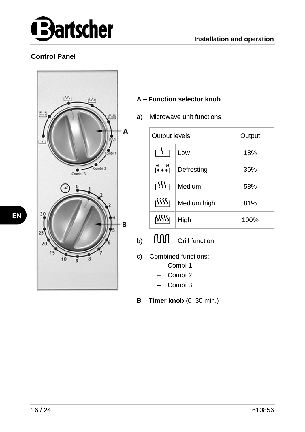

#### **Control Panel**



#### **A – Function selector knob**

a) Microwave unit functions

| Output levels |             | Output |
|---------------|-------------|--------|
| IY.           | Low         | 18%    |
| ∣∙ิ∙∙์∣       | Defrosting  | 36%    |
| ا ۱۶۶۶        | Medium      | 58%    |
| الألألار      | Medium high | 81%    |
| iSSSSS        | High        | 100%   |

- b)  $\mathsf{I} \mathsf{III}$  Grill function
- c) Combined functions:
	- Combi 1
	- Combi 2
	- Combi 3

**B** – **Timer knob** (0–30 min.)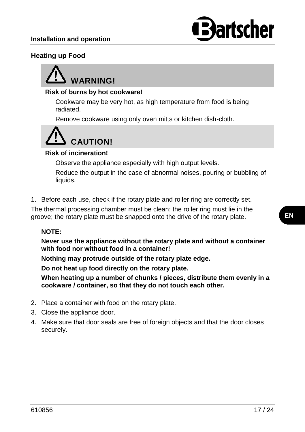

#### **Heating up Food**



#### **Risk of burns by hot cookware!**

Cookware may be very hot, as high temperature from food is being radiated.

Remove cookware using only oven mitts or kitchen dish-cloth.



#### **Risk of incineration!**

Observe the appliance especially with high output levels.

Reduce the output in the case of abnormal noises, pouring or bubbling of liquids.

1. Before each use, check if the rotary plate and roller ring are correctly set.

The thermal processing chamber must be clean; the roller ring must lie in the groove; the rotary plate must be snapped onto the drive of the rotary plate.

#### **NOTE:**

**Never use the appliance without the rotary plate and without a container with food nor without food in a container!**

**Nothing may protrude outside of the rotary plate edge.** 

**Do not heat up food directly on the rotary plate.** 

**When heating up a number of chunks / pieces, distribute them evenly in a cookware / container, so that they do not touch each other.**

- 2. Place a container with food on the rotary plate.
- 3. Close the appliance door.
- 4. Make sure that door seals are free of foreign objects and that the door closes securely.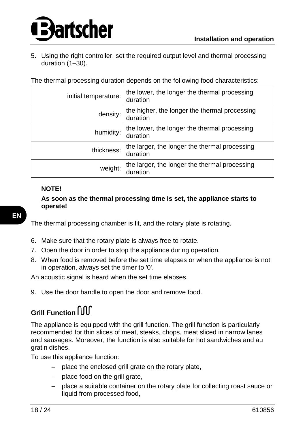# artscher

5. Using the right controller, set the required output level and thermal processing duration (1–30).

The thermal processing duration depends on the following food characteristics:

| initial temperature: | the lower, the longer the thermal processing<br>duration  |
|----------------------|-----------------------------------------------------------|
| density:             | the higher, the longer the thermal processing<br>duration |
| humidity:            | the lower, the longer the thermal processing<br>duration  |
| thickness:           | the larger, the longer the thermal processing<br>duration |
| weight:              | the larger, the longer the thermal processing<br>duration |

#### **NOTE!**

**As soon as the thermal processing time is set, the appliance starts to operate!**

The thermal processing chamber is lit, and the rotary plate is rotating.

- 6. Make sure that the rotary plate is always free to rotate.
- 7. Open the door in order to stop the appliance during operation.
- 8. When food is removed before the set time elapses or when the appliance is not in operation, always set the timer to '0'.

An acoustic signal is heard when the set time elapses.

9. Use the door handle to open the door and remove food.

# **Grill Function**

The appliance is equipped with the grill function. The grill function is particularly recommended for thin slices of meat, steaks, chops, meat sliced in narrow lanes and sausages. Moreover, the function is also suitable for hot sandwiches and au gratin dishes.

To use this appliance function:

- place the enclosed grill grate on the rotary plate,
- place food on the grill grate,
- place a suitable container on the rotary plate for collecting roast sauce or liquid from processed food,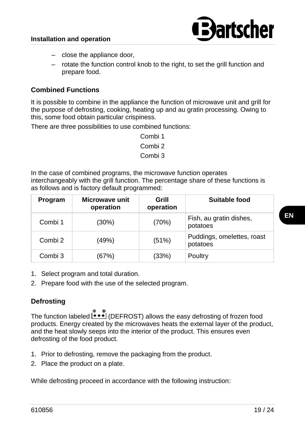

- close the appliance door,
- rotate the function control knob to the right, to set the grill function and prepare food.

#### **Combined Functions**

It is possible to combine in the appliance the function of microwave unit and grill for the purpose of defrosting, cooking, heating up and au gratin processing. Owing to this, some food obtain particular crispiness.

There are three possibilities to use combined functions:

In the case of combined programs, the microwave function operates interchangeably with the grill function. The percentage share of these functions is as follows and is factory default programmed:

| Program | Microwave unit<br>operation | Grill<br>operation | Suitable food                          |
|---------|-----------------------------|--------------------|----------------------------------------|
| Combi 1 | (30%)                       | (70%)              | Fish, au gratin dishes,<br>potatoes    |
| Combi 2 | (49%)                       | (51%)              | Puddings, omelettes, roast<br>potatoes |
| Combi 3 | (67%)                       | (33%)              | Poultry                                |

- 1. Select program and total duration.
- 2. Prepare food with the use of the selected program.

#### **Defrosting**

The function labeled  $\rightarrow$  (DEFROST) allows the easy defrosting of frozen food products. Energy created by the microwaves heats the external layer of the product, and the heat slowly seeps into the interior of the product. This ensures even defrosting of the food product.

- 1. Prior to defrosting, remove the packaging from the product.
- 2. Place the product on a plate.

While defrosting proceed in accordance with the following instruction:

Combi 1 Combi 2 Combi 3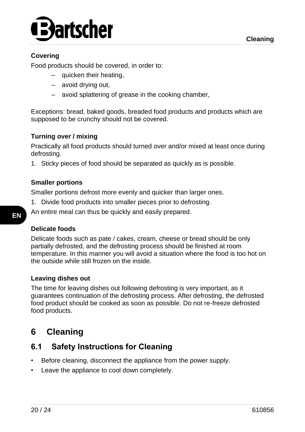

#### **Covering**

Food products should be covered, in order to:

- quicken their heating,
- avoid drying out,
- avoid splattering of grease in the cooking chamber,

Exceptions: bread, baked goods, breaded food products and products which are supposed to be crunchy should not be covered.

#### **Turning over / mixing**

Practically all food products should turned over and/or mixed at least once during defrosting.

1. Sticky pieces of food should be separated as quickly as is possible.

#### **Smaller portions**

Smaller portions defrost more evenly and quicker than larger ones.

1. Divide food products into smaller pieces prior to defrosting.

An entire meal can thus be quickly and easily prepared.

#### **Delicate foods**

Delicate foods such as pate / cakes, cream, cheese or bread should be only partially defrosted, and the defrosting process should be finished at room temperature. In this manner you will avoid a situation where the food is too hot on the outside while still frozen on the inside.

#### **Leaving dishes out**

The time for leaving dishes out following defrosting is very important, as it guarantees continuation of the defrosting process. After defrosting, the defrosted food product should be cooked as soon as possible. Do not re-freeze defrosted food products.

# <span id="page-21-0"></span>**6 Cleaning**

## <span id="page-21-1"></span>**6.1 Safety Instructions for Cleaning**

- Before cleaning, disconnect the appliance from the power supply.
- Leave the appliance to cool down completely.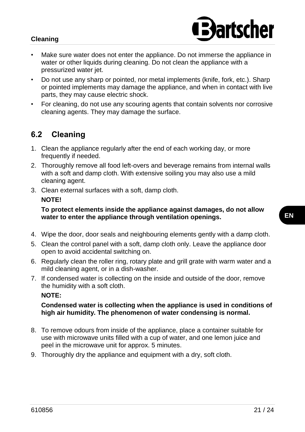#### **Cleaning**

- **Bartscher**
- Make sure water does not enter the appliance. Do not immerse the appliance in water or other liquids during cleaning. Do not clean the appliance with a pressurized water jet.
- Do not use any sharp or pointed, nor metal implements (knife, fork, etc.). Sharp or pointed implements may damage the appliance, and when in contact with live parts, they may cause electric shock.
- For cleaning, do not use any scouring agents that contain solvents nor corrosive cleaning agents. They may damage the surface.

# <span id="page-22-0"></span>**6.2 Cleaning**

- 1. Clean the appliance regularly after the end of each working day, or more frequently if needed.
- 2. Thoroughly remove all food left-overs and beverage remains from internal walls with a soft and damp cloth. With extensive soiling you may also use a mild cleaning agent.
- 3. Clean external surfaces with a soft, damp cloth. **NOTE!**

**To protect elements inside the appliance against damages, do not allow water to enter the appliance through ventilation openings.**

- 4. Wipe the door, door seals and neighbouring elements gently with a damp cloth.
- 5. Clean the control panel with a soft, damp cloth only. Leave the appliance door open to avoid accidental switching on.
- 6. Regularly clean the roller ring, rotary plate and grill grate with warm water and a mild cleaning agent, or in a dish-washer.
- 7. If condensed water is collecting on the inside and outside of the door, remove the humidity with a soft cloth.

**NOTE:**

#### **Condensed water is collecting when the appliance is used in conditions of high air humidity. The phenomenon of water condensing is normal.**

- 8. To remove odours from inside of the appliance, place a container suitable for use with microwave units filled with a cup of water, and one lemon juice and peel in the microwave unit for approx. 5 minutes.
- 9. Thoroughly dry the appliance and equipment with a dry, soft cloth.